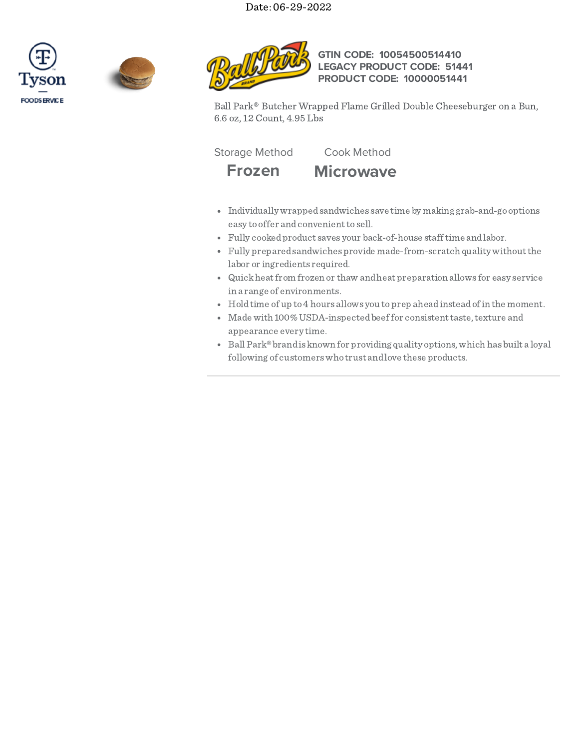





# **GTIN CODE: 10054500514410 LEGACY PRODUCT CODE: 51441 PRODUCT CODE: 10000051441**

Ball Park® Butcher Wrapped Flame Grilled Double Cheeseburger on a Bun, 6.6 oz, 12 Count, 4.95 Lbs

Storage Method Cook Method

**Frozen Microwave**

- Individually wrapped sandwiches save time by making grab-and-go options easy to offer and convenient to sell.
- Fully cookedproduct saves your back-of-house stafftime andlabor.
- Fully preparedsandwiches provide made-from-scratch quality withoutthe labor or ingredients required.
- Quickheatfrom frozen or thaw andheat preparation allows for easy service in a range of environments.
- Holdtime of up to4 hours allows you toprep aheadinsteadofin the moment.
- Made with 100% USDA-inspected beef for consistent taste, texture and appearance every time.
- Ball Park® brand is known for providing quality options, which has built a loyal following of customerswho trust andlove these products.